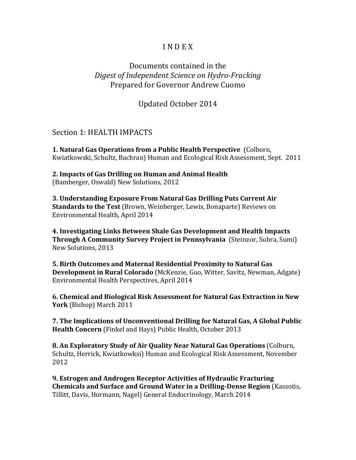## **INDEX**

## Documents contained in the *Digest of Independent Science on Hydro-Fracking* Prepared for Governor Andrew Cuomo

Updated October 2014

Section 1: HEALTH IMPACTS

**1. Natural Gas Operations from a Public Health Perspective (Colborn,** Kwiatkowski, Schultz, Bachran) Human and Ecological Risk Assessment, Sept. 2011

**2. Impacts of Gas Drilling on Human and Animal Health** (Bamberger, Oswald) New Solutions, 2012

**3. Understanding Exposure From Natural Gas Drilling Puts Current Air Standards to the Test** (Brown, Weinberger, Lewis, Bonaparte) Reviews on Environmental Health, April 2014

**4. Investigating Links Between Shale Gas Development and Health Impacts Through A Community Survey Project in Pennsylvania** (Steinzor, Subra, Sumi) New Solutions, 2013

**5. Birth Outcomes and Maternal Residential Proximity to Natural Gas Development in Rural Colorado** (McKenzie, Guo, Witter, Savitz, Newman, Adgate) Environmental Health Perspectives, April 2014

**6. Chemical and Biological Risk Assessment for Natural Gas Extraction in New York** (Bishop) March 2011

**7. The Implications of Unconventional Drilling for Natural Gas, A Global Public Health Concern** (Finkel and Hays) Public Health, October 2013

**8. An Exploratory Study of Air Quality Near Natural Gas Operations** (Colburn, Schultz, Herrick, Kwiatkowksi) Human and Ecological Risk Assessment, November 2012

**9. Estrogen and Androgen Receptor Activities of Hydraulic Fracturing Chemicals and Surface and Ground Water in a Drilling-Dense Region** (Kassotis, Tillitt, Davis, Hormann, Nagel) General Endocrinology, March 2014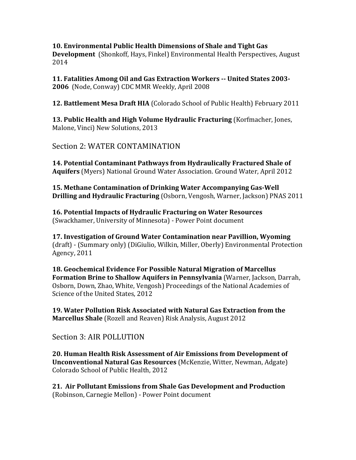## **10. Environmental Public Health Dimensions of Shale and Tight Gas Development** (Shonkoff, Hays, Finkel) Environmental Health Perspectives, August

2014

**11. Fatalities Among Oil and Gas Extraction Workers -- United States 2003- 2006** (Node, Conway) CDC MMR Weekly, April 2008

**12. Battlement Mesa Draft HIA** (Colorado School of Public Health) February 2011

**13. Public Health and High Volume Hydraulic Fracturing** (Korfmacher, Jones, Malone, Vinci) New Solutions, 2013

Section 2: WATER CONTAMINATION

**14. Potential Contaminant Pathways from Hydraulically Fractured Shale of Aquifers** (Myers) National Ground Water Association. Ground Water, April 2012

**15. Methane Contamination of Drinking Water Accompanying Gas-Well Drilling and Hydraulic Fracturing** (Osborn, Vengosh, Warner, Jackson) PNAS 2011

**16. Potential Impacts of Hydraulic Fracturing on Water Resources** (Swackhamer, University of Minnesota) - Power Point document

**17. Investigation of Ground Water Contamination near Pavillion, Wyoming** (draft) - (Summary only) (DiGiulio, Wilkin, Miller, Oberly) Environmental Protection Agency, 2011

**18. Geochemical Evidence For Possible Natural Migration of Marcellus Formation Brine to Shallow Aquifers in Pennsylvania** (Warner, Jackson, Darrah, Osborn, Down, Zhao, White, Vengosh) Proceedings of the National Academies of Science of the United States, 2012

**19. Water Pollution Risk Associated with Natural Gas Extraction from the Marcellus Shale** (Rozell and Reaven) Risk Analysis, August 2012

Section 3: AIR POLLUTION

**20. Human Health Risk Assessment of Air Emissions from Development of Unconventional Natural Gas Resources** (McKenzie, Witter, Newman, Adgate) Colorado School of Public Health, 2012

**21. Air Pollutant Emissions from Shale Gas Development and Production** (Robinson, Carnegie Mellon) - Power Point document